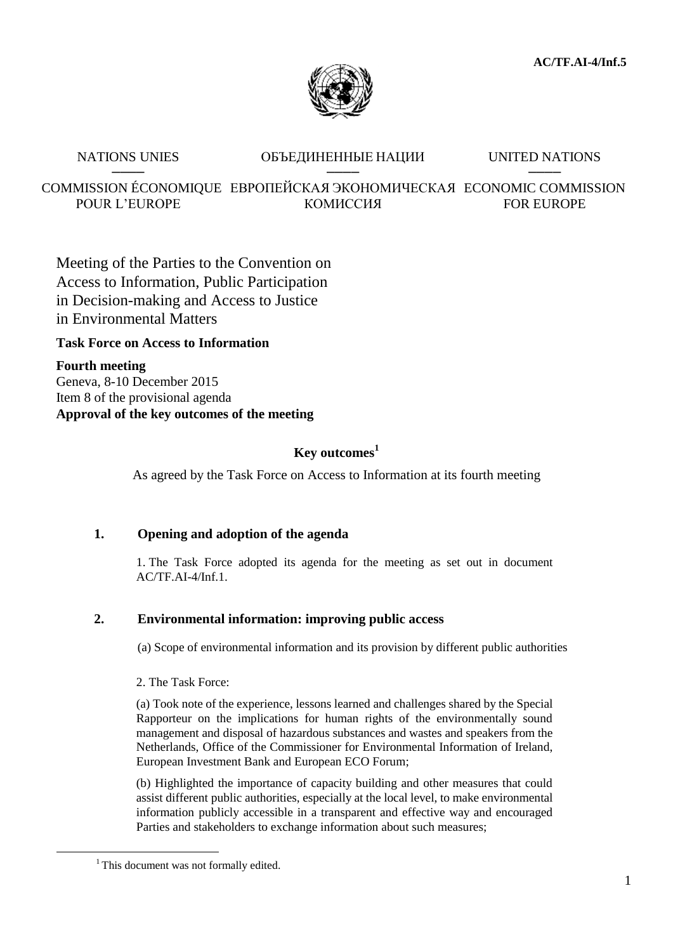

### NATIONS UNIES **ОБЪЕДИНЕННЫЕ НАЦИИ** UNITED NATIONS ──── ──── ────

COMMISSION ÉCONOMIQUE ЕВРОПЕЙСКАЯ ЭКОНОМИЧЕСКАЯ ECONOMIC COMMISSION POUR L'EUROPE КОМИССИЯ FOR EUROPE

Meeting of the Parties to the Convention on Access to Information, Public Participation in Decision-making and Access to Justice in Environmental Matters

## **Task Force on Access to Information**

**Fourth meeting** Geneva, 8-10 December 2015 Item 8 of the provisional agenda **Approval of the key outcomes of the meeting**

## **Key outcomes<sup>1</sup>**

As agreed by the Task Force on Access to Information at its fourth meeting

# **1. Opening and adoption of the agenda**

1. The Task Force adopted its agenda for the meeting as set out in document AC/TF.AI-4/Inf.1.

# **2. Environmental information: improving public access**

(a) Scope of environmental information and its provision by different public authorities

2. The Task Force:

(a) Took note of the experience, lessons learned and challenges shared by the Special Rapporteur on the implications for human rights of the environmentally sound management and disposal of hazardous substances and wastes and speakers from the Netherlands, Office of the Commissioner for Environmental Information of Ireland, European Investment Bank and European ECO Forum;

(b) Highlighted the importance of capacity building and other measures that could assist different public authorities, especially at the local level, to make environmental information publicly accessible in a transparent and effective way and encouraged Parties and stakeholders to exchange information about such measures;

 $\overline{a}$ 

<sup>&</sup>lt;sup>1</sup> This document was not formally edited.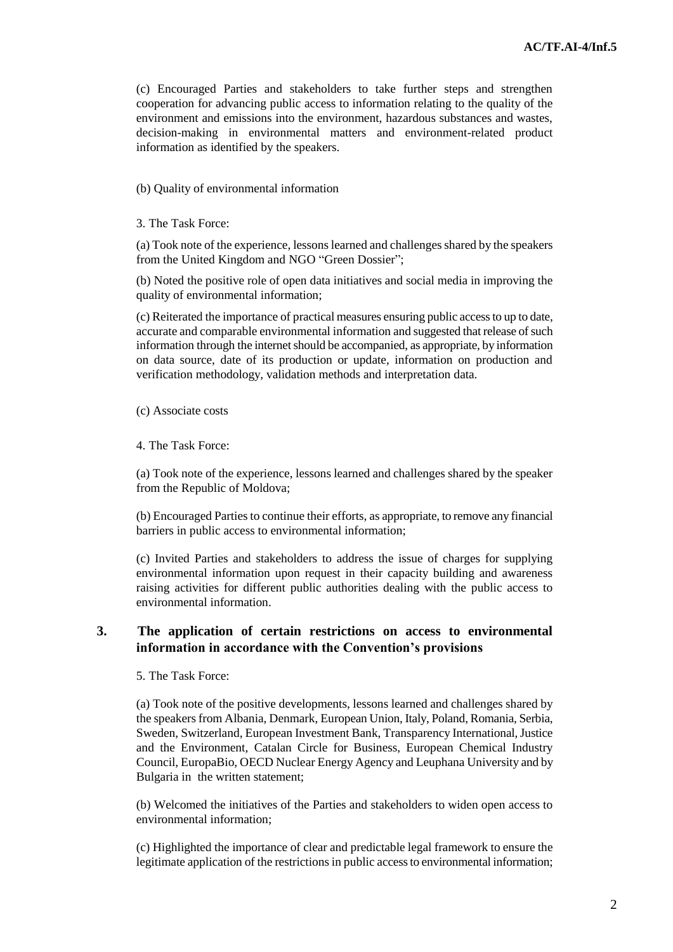(c) Encouraged Parties and stakeholders to take further steps and strengthen cooperation for advancing public access to information relating to the quality of the environment and emissions into the environment, hazardous substances and wastes, decision-making in environmental matters and environment-related product information as identified by the speakers.

(b) Quality of environmental information

3. The Task Force:

(a) Took note of the experience, lessons learned and challenges shared by the speakers from the United Kingdom and NGO "Green Dossier";

(b) Noted the positive role of open data initiatives and social media in improving the quality of environmental information;

(c) Reiterated the importance of practical measures ensuring public access to up to date, accurate and comparable environmental information and suggested that release of such information through the internet should be accompanied, as appropriate, by information on data source, date of its production or update, information on production and verification methodology, validation methods and interpretation data.

(c) Associate costs

4. The Task Force:

(a) Took note of the experience, lessons learned and challenges shared by the speaker from the Republic of Moldova;

(b) Encouraged Parties to continue their efforts, as appropriate, to remove any financial barriers in public access to environmental information;

(c) Invited Parties and stakeholders to address the issue of charges for supplying environmental information upon request in their capacity building and awareness raising activities for different public authorities dealing with the public access to environmental information.

### **3. The application of certain restrictions on access to environmental information in accordance with the Convention's provisions**

5. The Task Force:

(a) Took note of the positive developments, lessons learned and challenges shared by the speakers from Albania, Denmark, European Union, Italy, Poland, Romania, Serbia, Sweden, Switzerland, European Investment Bank, Transparency International, Justice and the Environment, Catalan Circle for Business, European Chemical Industry Council, EuropaBio, OECD Nuclear Energy Agency and Leuphana University and by Bulgaria in the written statement;

(b) Welcomed the initiatives of the Parties and stakeholders to widen open access to environmental information;

(c) Highlighted the importance of clear and predictable legal framework to ensure the legitimate application of the restrictions in public access to environmental information;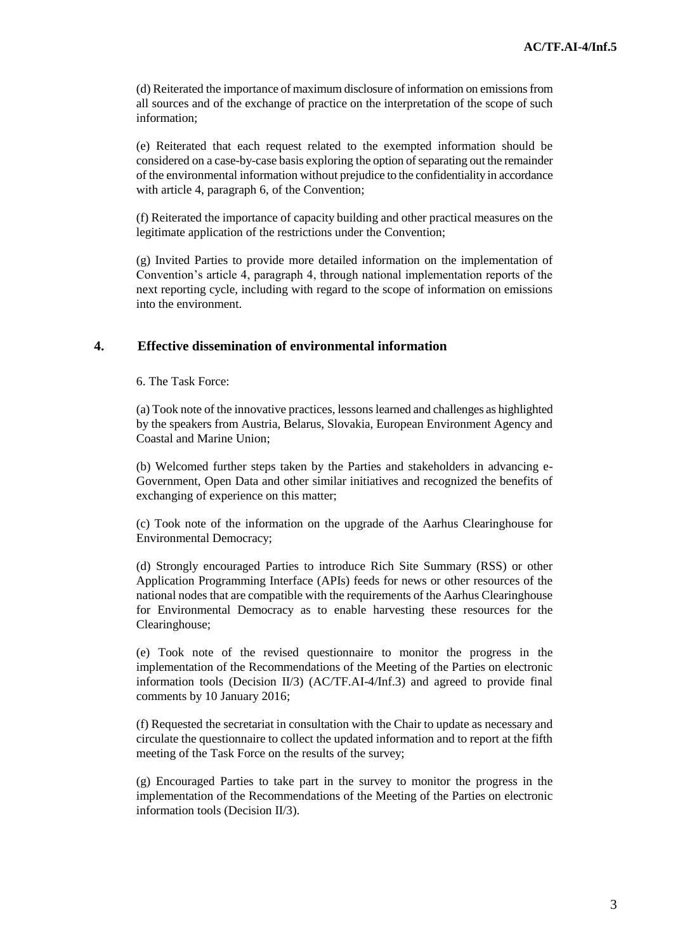(d) Reiterated the importance of maximum disclosure of information on emissions from all sources and of the exchange of practice on the interpretation of the scope of such information;

(e) Reiterated that each request related to the exempted information should be considered on a case-by-case basis exploring the option of separating out the remainder of the environmental information without prejudice to the confidentiality in accordance with article 4, paragraph 6, of the Convention:

(f) Reiterated the importance of capacity building and other practical measures on the legitimate application of the restrictions under the Convention;

(g) Invited Parties to provide more detailed information on the implementation of Convention's article 4, paragraph 4, through national implementation reports of the next reporting cycle, including with regard to the scope of information on emissions into the environment.

### **4. Effective dissemination of environmental information**

6. The Task Force:

(a) Took note of the innovative practices, lessons learned and challenges as highlighted by the speakers from Austria, Belarus, Slovakia, European Environment Agency and Coastal and Marine Union;

(b) Welcomed further steps taken by the Parties and stakeholders in advancing e-Government, Open Data and other similar initiatives and recognized the benefits of exchanging of experience on this matter;

(c) Took note of the information on the upgrade of the Aarhus Clearinghouse for Environmental Democracy;

(d) Strongly encouraged Parties to introduce Rich Site Summary (RSS) or other Application Programming Interface (APIs) feeds for news or other resources of the national nodes that are compatible with the requirements of the Aarhus Clearinghouse for Environmental Democracy as to enable harvesting these resources for the Clearinghouse;

(e) Took note of the revised questionnaire to monitor the progress in the implementation of the Recommendations of the Meeting of the Parties on electronic information tools (Decision II/3) (AC/TF.AI-4/Inf.3) and agreed to provide final comments by 10 January 2016;

(f) Requested the secretariat in consultation with the Chair to update as necessary and circulate the questionnaire to collect the updated information and to report at the fifth meeting of the Task Force on the results of the survey;

(g) Encouraged Parties to take part in the survey to monitor the progress in the implementation of the Recommendations of the Meeting of the Parties on electronic information tools (Decision II/3).